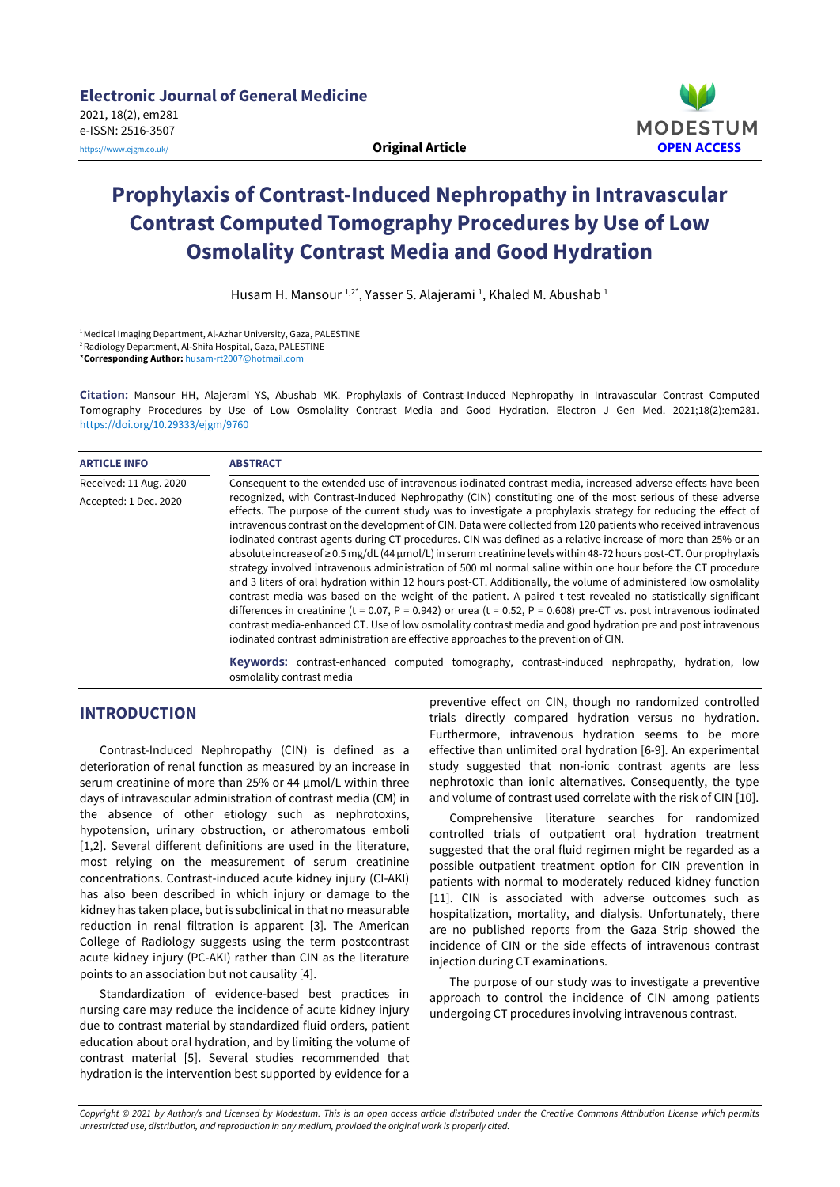

# **Prophylaxis of Contrast-Induced Nephropathy in Intravascular Contrast Computed Tomography Procedures by Use of Low Osmolality Contrast Media and Good Hydration**

Husam H. Mansour 1,2\*, Yasser S. Alajerami <sup>1</sup>, Khaled M. Abushab 1

1Medical Imaging Department, Al-Azhar University, Gaza, PALESTINE 2Radiology Department, Al-Shifa Hospital, Gaza, PALESTINE \***Corresponding Author:** [husam-rt2007@hotmail.com](mailto:husam-rt2007@hotmail.com)

**Citation:** Mansour HH, Alajerami YS, Abushab MK. Prophylaxis of Contrast-Induced Nephropathy in Intravascular Contrast Computed Tomography Procedures by Use of Low Osmolality Contrast Media and Good Hydration. Electron J Gen Med. 2021;18(2):em281. <https://doi.org/10.29333/ejgm/9760>

| <b>ARTICLE INFO</b>    | <b>ABSTRACT</b>                                                                                                                                                                                                                                                                                                                                                                                                                                                                                                                                                                                                                                                                                                                                                                                                                                                                                                                                                                                                                                                                                                                                                                                                                                                              |  |  |
|------------------------|------------------------------------------------------------------------------------------------------------------------------------------------------------------------------------------------------------------------------------------------------------------------------------------------------------------------------------------------------------------------------------------------------------------------------------------------------------------------------------------------------------------------------------------------------------------------------------------------------------------------------------------------------------------------------------------------------------------------------------------------------------------------------------------------------------------------------------------------------------------------------------------------------------------------------------------------------------------------------------------------------------------------------------------------------------------------------------------------------------------------------------------------------------------------------------------------------------------------------------------------------------------------------|--|--|
| Received: 11 Aug. 2020 | Consequent to the extended use of intravenous iodinated contrast media, increased adverse effects have been                                                                                                                                                                                                                                                                                                                                                                                                                                                                                                                                                                                                                                                                                                                                                                                                                                                                                                                                                                                                                                                                                                                                                                  |  |  |
| Accepted: 1 Dec. 2020  | recognized, with Contrast-Induced Nephropathy (CIN) constituting one of the most serious of these adverse<br>effects. The purpose of the current study was to investigate a prophylaxis strategy for reducing the effect of<br>intravenous contrast on the development of CIN. Data were collected from 120 patients who received intravenous<br>iodinated contrast agents during CT procedures. CIN was defined as a relative increase of more than 25% or an<br>absolute increase of $\geq$ 0.5 mg/dL (44 µmol/L) in serum creatinine levels within 48-72 hours post-CT. Our prophylaxis<br>strategy involved intravenous administration of 500 ml normal saline within one hour before the CT procedure<br>and 3 liters of oral hydration within 12 hours post-CT. Additionally, the volume of administered low osmolality<br>contrast media was based on the weight of the patient. A paired t-test revealed no statistically significant<br>differences in creatinine (t = 0.07, P = 0.942) or urea (t = 0.52, P = 0.608) pre-CT vs. post intravenous iodinated<br>contrast media-enhanced CT. Use of low osmolality contrast media and good hydration pre and post intravenous<br>iodinated contrast administration are effective approaches to the prevention of CIN. |  |  |
|                        | Keywords: contrast-enhanced computed tomography, contrast-induced nephropathy, hydration, low<br>osmolality contrast media                                                                                                                                                                                                                                                                                                                                                                                                                                                                                                                                                                                                                                                                                                                                                                                                                                                                                                                                                                                                                                                                                                                                                   |  |  |

## **INTRODUCTION**

Contrast-Induced Nephropathy (CIN) is defined as a deterioration of renal function as measured by an increase in serum creatinine of more than 25% or 44 µmol/L within three days of intravascular administration of contrast media (CM) in the absence of other etiology such as nephrotoxins, hypotension, urinary obstruction, or atheromatous emboli [1,2]. Several different definitions are used in the literature, most relying on the measurement of serum creatinine concentrations. Contrast-induced acute kidney injury (CI-AKI) has also been described in which injury or damage to the kidney has taken place, but is subclinical in that no measurable reduction in renal filtration is apparent [3]. The American College of Radiology suggests using the term postcontrast acute kidney injury (PC-AKI) rather than CIN as the literature points to an association but not causality [4].

Standardization of evidence-based best practices in nursing care may reduce the incidence of acute kidney injury due to contrast material by standardized fluid orders, patient education about oral hydration, and by limiting the volume of contrast material [5]. Several studies recommended that hydration is the intervention best supported by evidence for a

preventive effect on CIN, though no randomized controlled trials directly compared hydration versus no hydration. Furthermore, intravenous hydration seems to be more effective than unlimited oral hydration [6-9]. An experimental study suggested that non-ionic contrast agents are less nephrotoxic than ionic alternatives. Consequently, the type and volume of contrast used correlate with the risk of CIN [10].

Comprehensive literature searches for randomized controlled trials of outpatient oral hydration treatment suggested that the oral fluid regimen might be regarded as a possible outpatient treatment option for CIN prevention in patients with normal to moderately reduced kidney function [11]. CIN is associated with adverse outcomes such as hospitalization, mortality, and dialysis. Unfortunately, there are no published reports from the Gaza Strip showed the incidence of CIN or the side effects of intravenous contrast injection during CT examinations.

The purpose of our study was to investigate a preventive approach to control the incidence of CIN among patients undergoing CT procedures involving intravenous contrast.

Copyright © 2021 by Author/s and Licensed by Modestum. This is an open access article distributed under the Creative Commons Attribution License which permits *unrestricted use, distribution, and reproduction in any medium, provided the original work is properly cited.*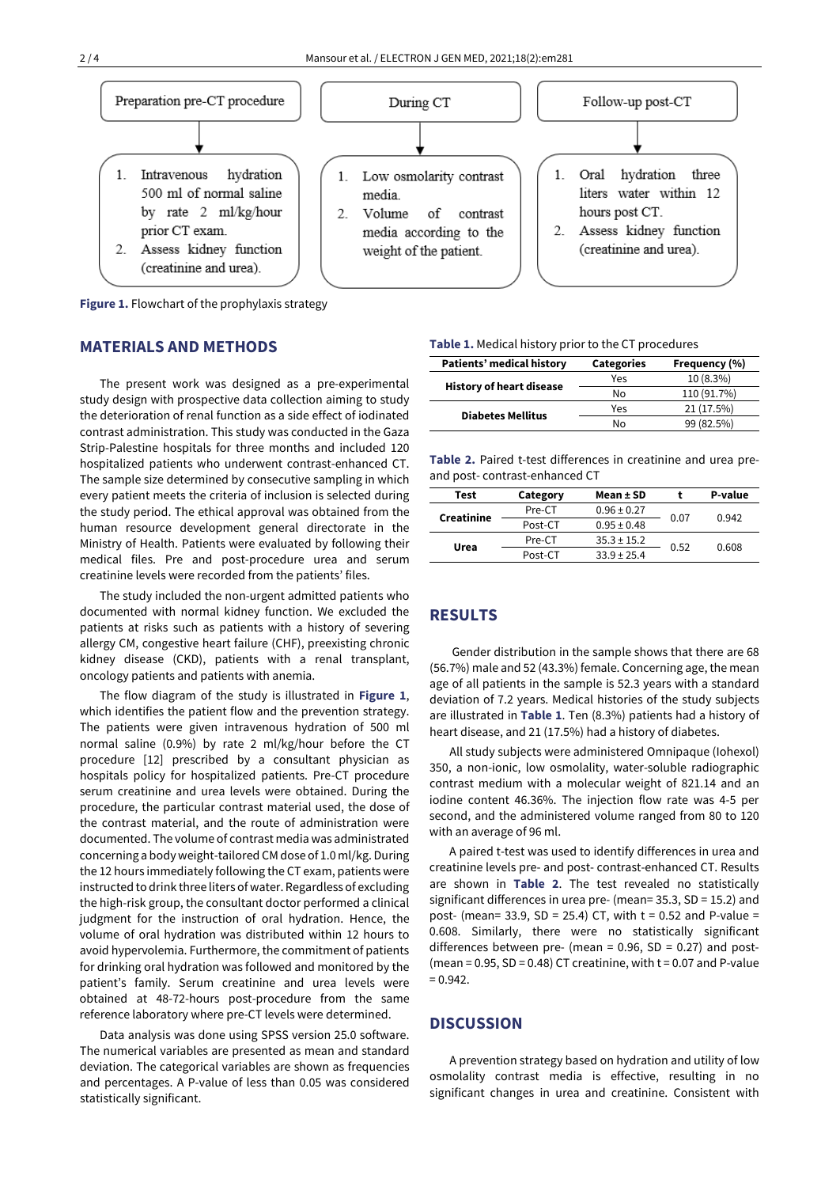

**Figure 1.** Flowchart of the prophylaxis strategy

#### **MATERIALS AND METHODS**

The present work was designed as a pre-experimental study design with prospective data collection aiming to study the deterioration of renal function as a side effect of iodinated contrast administration. This study was conducted in the Gaza Strip-Palestine hospitals for three months and included 120 hospitalized patients who underwent contrast-enhanced CT. The sample size determined by consecutive sampling in which every patient meets the criteria of inclusion is selected during the study period. The ethical approval was obtained from the human resource development general directorate in the Ministry of Health. Patients were evaluated by following their medical files. Pre and post-procedure urea and serum creatinine levels were recorded from the patients' files.

The study included the non-urgent admitted patients who documented with normal kidney function. We excluded the patients at risks such as patients with a history of severing allergy CM, congestive heart failure (CHF), preexisting chronic kidney disease (CKD), patients with a renal transplant, oncology patients and patients with anemia.

The flow diagram of the study is illustrated in **Figure 1**, which identifies the patient flow and the prevention strategy. The patients were given intravenous hydration of 500 ml normal saline (0.9%) by rate 2 ml/kg/hour before the CT procedure [12] prescribed by a consultant physician as hospitals policy for hospitalized patients. Pre-CT procedure serum creatinine and urea levels were obtained. During the procedure, the particular contrast material used, the dose of the contrast material, and the route of administration were documented. The volume of contrast media was administrated concerning a body weight-tailored CM dose of 1.0 ml/kg. During the 12 hours immediately following the CT exam, patients were instructed to drink three liters of water. Regardless of excluding the high-risk group, the consultant doctor performed a clinical judgment for the instruction of oral hydration. Hence, the volume of oral hydration was distributed within 12 hours to avoid hypervolemia. Furthermore, the commitment of patients for drinking oral hydration was followed and monitored by the patient's family. Serum creatinine and urea levels were obtained at 48-72-hours post-procedure from the same reference laboratory where pre-CT levels were determined.

Data analysis was done using SPSS version 25.0 software. The numerical variables are presented as mean and standard deviation. The categorical variables are shown as frequencies and percentages. A P-value of less than 0.05 was considered statistically significant.

#### **Table 1.** Medical history prior to the CT procedures

| Patients' medical history       | <b>Categories</b> | Frequency (%) |  |
|---------------------------------|-------------------|---------------|--|
| <b>History of heart disease</b> | Yes               | 10 (8.3%)     |  |
|                                 | No                | 110 (91.7%)   |  |
| <b>Diabetes Mellitus</b>        | Yes               | 21 (17.5%)    |  |
|                                 | No                | 99 (82.5%)    |  |

**Table 2.** Paired t-test differences in creatinine and urea preand post- contrast-enhanced CT

| Test       | Category | Mean ± SD       |      | P-value |
|------------|----------|-----------------|------|---------|
| Creatinine | Pre-CT   | $0.96 \pm 0.27$ | 0.07 | 0.942   |
|            | Post-CT  | $0.95 \pm 0.48$ |      |         |
| Urea       | Pre-CT   | $35.3 \pm 15.2$ | 0.52 |         |
|            | Post-CT  | $33.9 \pm 25.4$ |      | 0.608   |
|            |          |                 |      |         |

#### **RESULTS**

Gender distribution in the sample shows that there are 68 (56.7%) male and 52 (43.3%) female. Concerning age, the mean age of all patients in the sample is 52.3 years with a standard deviation of 7.2 years. Medical histories of the study subjects are illustrated in **Table 1**. Ten (8.3%) patients had a history of heart disease, and 21 (17.5%) had a history of diabetes.

All study subjects were administered Omnipaque (Iohexol) 350, a non-ionic, low osmolality, water-soluble radiographic contrast medium with a molecular weight of 821.14 and an iodine content 46.36%. The injection flow rate was 4-5 per second, and the administered volume ranged from 80 to 120 with an average of 96 ml.

A paired t-test was used to identify differences in urea and creatinine levels pre- and post- contrast-enhanced CT. Results are shown in **Table 2**. The test revealed no statistically significant differences in urea pre- (mean= 35.3, SD = 15.2) and post- (mean= 33.9, SD = 25.4) CT, with  $t = 0.52$  and P-value = 0.608. Similarly, there were no statistically significant differences between pre- (mean =  $0.96$ , SD =  $0.27$ ) and post-(mean =  $0.95$ , SD =  $0.48$ ) CT creatinine, with t =  $0.07$  and P-value  $= 0.942.$ 

### **DISCUSSION**

A prevention strategy based on hydration and utility of low osmolality contrast media is effective, resulting in no significant changes in urea and creatinine. Consistent with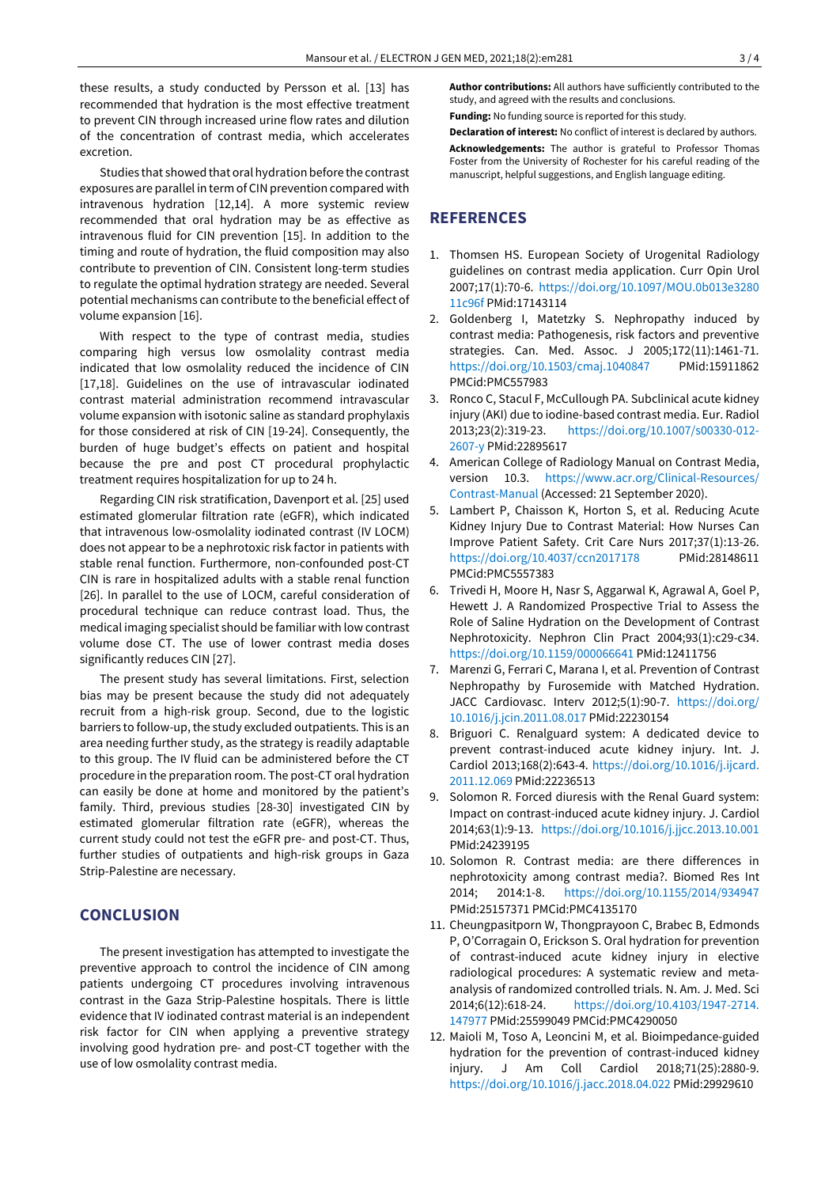these results, a study conducted by Persson et al. [13] has recommended that hydration is the most effective treatment to prevent CIN through increased urine flow rates and dilution of the concentration of contrast media, which accelerates excretion.

Studies that showed that oral hydration before the contrast exposures are parallel in term of CIN prevention compared with intravenous hydration [12,14]. A more systemic review recommended that oral hydration may be as effective as intravenous fluid for CIN prevention [15]. In addition to the timing and route of hydration, the fluid composition may also contribute to prevention of CIN. Consistent long-term studies to regulate the optimal hydration strategy are needed. Several potential mechanisms can contribute to the beneficial effect of volume expansion [16].

With respect to the type of contrast media, studies comparing high versus low osmolality contrast media indicated that low osmolality reduced the incidence of CIN [17,18]. Guidelines on the use of intravascular iodinated contrast material administration recommend intravascular volume expansion with isotonic saline as standard prophylaxis for those considered at risk of CIN [19-24]. Consequently, the burden of huge budget's effects on patient and hospital because the pre and post CT procedural prophylactic treatment requires hospitalization for up to 24 h.

Regarding CIN risk stratification, Davenport et al. [25] used estimated glomerular filtration rate (eGFR), which indicated that intravenous low-osmolality iodinated contrast (IV LOCM) does not appear to be a nephrotoxic risk factor in patients with stable renal function. Furthermore, non-confounded post-CT CIN is rare in hospitalized adults with a stable renal function [26]. In parallel to the use of LOCM, careful consideration of procedural technique can reduce contrast load. Thus, the medical imaging specialist should be familiar with low contrast volume dose CT. The use of lower contrast media doses significantly reduces CIN [27].

The present study has several limitations. First, selection bias may be present because the study did not adequately recruit from a high-risk group. Second, due to the logistic barriers to follow-up, the study excluded outpatients. This is an area needing further study, as the strategy is readily adaptable to this group. The IV fluid can be administered before the CT procedure in the preparation room. The post-CT oral hydration can easily be done at home and monitored by the patient's family. Third, previous studies [28-30] investigated CIN by estimated glomerular filtration rate (eGFR), whereas the current study could not test the eGFR pre- and post-CT. Thus, further studies of outpatients and high-risk groups in Gaza Strip-Palestine are necessary.

#### **CONCLUSION**

The present investigation has attempted to investigate the preventive approach to control the incidence of CIN among patients undergoing CT procedures involving intravenous contrast in the Gaza Strip-Palestine hospitals. There is little evidence that IV iodinated contrast material is an independent risk factor for CIN when applying a preventive strategy involving good hydration pre- and post-CT together with the use of low osmolality contrast media.

**Author contributions:** All authors have sufficiently contributed to the study, and agreed with the results and conclusions.

**Funding:** No funding source is reported for this study.

**Declaration of interest:** No conflict of interest is declared by authors. **Acknowledgements:** The author is grateful to Professor Thomas Foster from the University of Rochester for his careful reading of the manuscript, helpful suggestions, and English language editing.

#### **REFERENCES**

- 1. Thomsen HS. European Society of Urogenital Radiology guidelines on contrast media application. Curr Opin Urol 2007;17(1):70-6. [https://doi.org/10.1097/MOU.0b013e3280](https://doi.org/10.1097/MOU.0b013e328011c96f) [11c96f](https://doi.org/10.1097/MOU.0b013e328011c96f) PMid:17143114
- 2. Goldenberg I, Matetzky S. Nephropathy induced by contrast media: Pathogenesis, risk factors and preventive strategies. Can. Med. Assoc. J 2005;172(11):1461-71. <https://doi.org/10.1503/cmaj.1040847> PMid:15911862 PMCid:PMC557983
- 3. Ronco C, Stacul F, McCullough PA. Subclinical acute kidney injury (AKI) due to iodine-based contrast media. Eur. Radiol 2013;23(2):319-23. [https://doi.org/10.1007/s00330-012-](https://doi.org/10.1007/s00330-012-2607-y) [2607-y](https://doi.org/10.1007/s00330-012-2607-y) PMid:22895617
- 4. American College of Radiology Manual on Contrast Media, version 10.3. [https://www.acr.org/Clinical-Resources/](https://www.acr.org/Clinical-Resources/Contrast-Manual) [Contrast-Manual](https://www.acr.org/Clinical-Resources/Contrast-Manual) (Accessed: 21 September 2020).
- 5. Lambert P, Chaisson K, Horton S, et al. Reducing Acute Kidney Injury Due to Contrast Material: How Nurses Can Improve Patient Safety. Crit Care Nurs 2017;37(1):13-26. <https://doi.org/10.4037/ccn2017178> PMid:28148611 PMCid:PMC5557383
- 6. Trivedi H, Moore H, Nasr S, Aggarwal K, Agrawal A, Goel P, Hewett J. A Randomized Prospective Trial to Assess the Role of Saline Hydration on the Development of Contrast Nephrotoxicity. Nephron Clin Pract 2004;93(1):c29-c34. <https://doi.org/10.1159/000066641> PMid:12411756
- 7. Marenzi G, Ferrari C, Marana I, et al. Prevention of Contrast Nephropathy by Furosemide with Matched Hydration. JACC Cardiovasc. Interv 2012;5(1):90-7. [https://doi.org/](https://doi.org/10.1016/j.jcin.2011.08.017) [10.1016/j.jcin.2011.08.017](https://doi.org/10.1016/j.jcin.2011.08.017) PMid:22230154
- 8. Briguori C. Renalguard system: A dedicated device to prevent contrast-induced acute kidney injury. Int. J. Cardiol 2013;168(2):643-4. [https://doi.org/10.1016/j.ijcard.](https://doi.org/10.1016/j.ijcard.2011.12.069) [2011.12.069](https://doi.org/10.1016/j.ijcard.2011.12.069) PMid:22236513
- 9. Solomon R. Forced diuresis with the Renal Guard system: Impact on contrast-induced acute kidney injury. J. Cardiol 2014;63(1):9-13. <https://doi.org/10.1016/j.jjcc.2013.10.001> PMid:24239195
- 10. Solomon R. Contrast media: are there differences in nephrotoxicity among contrast media?. Biomed Res Int 2014; 2014:1-8. <https://doi.org/10.1155/2014/934947> PMid:25157371 PMCid:PMC4135170
- 11. Cheungpasitporn W, Thongprayoon C, Brabec B, Edmonds P, O'Corragain O, Erickson S. Oral hydration for prevention of contrast-induced acute kidney injury in elective radiological procedures: A systematic review and metaanalysis of randomized controlled trials. N. Am. J. Med. Sci 2014;6(12):618-24. [https://doi.org/10.4103/1947-2714.](https://doi.org/10.4103/1947-2714.147977) [147977](https://doi.org/10.4103/1947-2714.147977) PMid:25599049 PMCid:PMC4290050
- 12. Maioli M, Toso A, Leoncini M, et al. Bioimpedance-guided hydration for the prevention of contrast-induced kidney injury. J Am Coll Cardiol 2018;71(25):2880-9. <https://doi.org/10.1016/j.jacc.2018.04.022> PMid:29929610